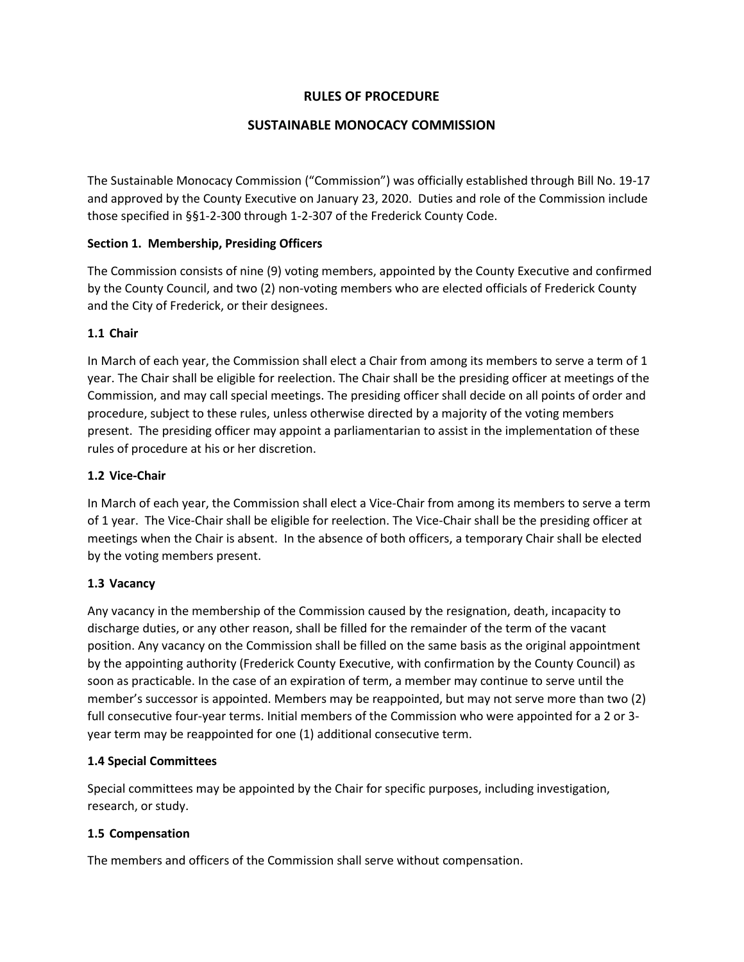# **RULES OF PROCEDURE**

# **SUSTAINABLE MONOCACY COMMISSION**

The Sustainable Monocacy Commission ("Commission") was officially established through Bill No. 19-17 and approved by the County Executive on January 23, 2020. Duties and role of the Commission include those specified in §§1-2-300 through 1-2-307 of the Frederick County Code.

# **Section 1. Membership, Presiding Officers**

The Commission consists of nine (9) voting members, appointed by the County Executive and confirmed by the County Council, and two (2) non-voting members who are elected officials of Frederick County and the City of Frederick, or their designees.

# **1.1 Chair**

In March of each year, the Commission shall elect a Chair from among its members to serve a term of 1 year. The Chair shall be eligible for reelection. The Chair shall be the presiding officer at meetings of the Commission, and may call special meetings. The presiding officer shall decide on all points of order and procedure, subject to these rules, unless otherwise directed by a majority of the voting members present. The presiding officer may appoint a parliamentarian to assist in the implementation of these rules of procedure at his or her discretion.

### **1.2 Vice-Chair**

In March of each year, the Commission shall elect a Vice-Chair from among its members to serve a term of 1 year. The Vice-Chair shall be eligible for reelection. The Vice-Chair shall be the presiding officer at meetings when the Chair is absent. In the absence of both officers, a temporary Chair shall be elected by the voting members present.

#### **1.3 Vacancy**

Any vacancy in the membership of the Commission caused by the resignation, death, incapacity to discharge duties, or any other reason, shall be filled for the remainder of the term of the vacant position. Any vacancy on the Commission shall be filled on the same basis as the original appointment by the appointing authority (Frederick County Executive, with confirmation by the County Council) as soon as practicable. In the case of an expiration of term, a member may continue to serve until the member's successor is appointed. Members may be reappointed, but may not serve more than two (2) full consecutive four-year terms. Initial members of the Commission who were appointed for a 2 or 3 year term may be reappointed for one (1) additional consecutive term.

#### **1.4 Special Committees**

Special committees may be appointed by the Chair for specific purposes, including investigation, research, or study.

#### **1.5 Compensation**

The members and officers of the Commission shall serve without compensation.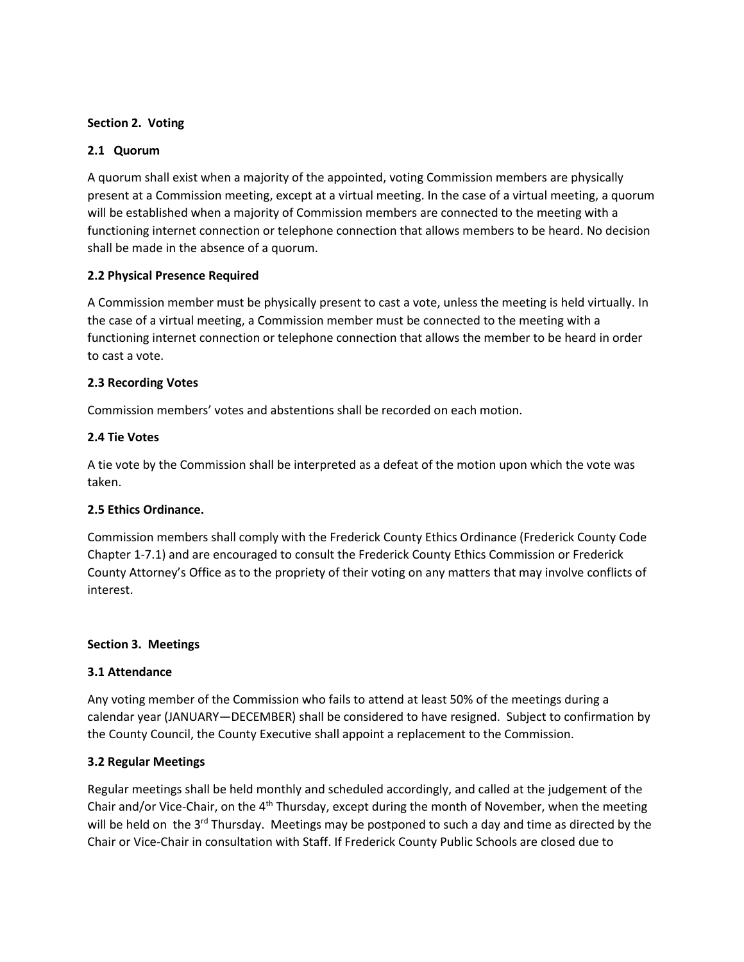#### **Section 2. Voting**

# **2.1 Quorum**

A quorum shall exist when a majority of the appointed, voting Commission members are physically present at a Commission meeting, except at a virtual meeting. In the case of a virtual meeting, a quorum will be established when a majority of Commission members are connected to the meeting with a functioning internet connection or telephone connection that allows members to be heard. No decision shall be made in the absence of a quorum.

# **2.2 Physical Presence Required**

A Commission member must be physically present to cast a vote, unless the meeting is held virtually. In the case of a virtual meeting, a Commission member must be connected to the meeting with a functioning internet connection or telephone connection that allows the member to be heard in order to cast a vote.

# **2.3 Recording Votes**

Commission members' votes and abstentions shall be recorded on each motion.

# **2.4 Tie Votes**

A tie vote by the Commission shall be interpreted as a defeat of the motion upon which the vote was taken.

#### **2.5 Ethics Ordinance.**

Commission members shall comply with the Frederick County Ethics Ordinance (Frederick County Code Chapter 1-7.1) and are encouraged to consult the Frederick County Ethics Commission or Frederick County Attorney's Office as to the propriety of their voting on any matters that may involve conflicts of interest.

#### **Section 3. Meetings**

#### **3.1 Attendance**

Any voting member of the Commission who fails to attend at least 50% of the meetings during a calendar year (JANUARY—DECEMBER) shall be considered to have resigned. Subject to confirmation by the County Council, the County Executive shall appoint a replacement to the Commission.

#### **3.2 Regular Meetings**

Regular meetings shall be held monthly and scheduled accordingly, and called at the judgement of the Chair and/or Vice-Chair, on the  $4<sup>th</sup>$  Thursday, except during the month of November, when the meeting will be held on the 3<sup>rd</sup> Thursday. Meetings may be postponed to such a day and time as directed by the Chair or Vice-Chair in consultation with Staff. If Frederick County Public Schools are closed due to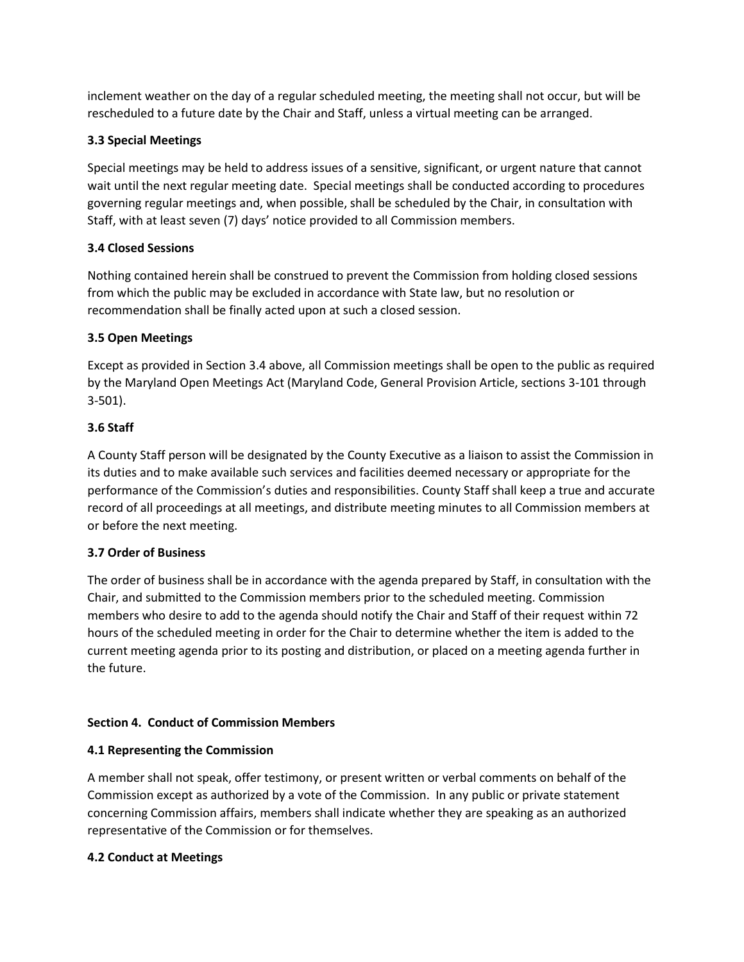inclement weather on the day of a regular scheduled meeting, the meeting shall not occur, but will be rescheduled to a future date by the Chair and Staff, unless a virtual meeting can be arranged.

# **3.3 Special Meetings**

Special meetings may be held to address issues of a sensitive, significant, or urgent nature that cannot wait until the next regular meeting date. Special meetings shall be conducted according to procedures governing regular meetings and, when possible, shall be scheduled by the Chair, in consultation with Staff, with at least seven (7) days' notice provided to all Commission members.

# **3.4 Closed Sessions**

Nothing contained herein shall be construed to prevent the Commission from holding closed sessions from which the public may be excluded in accordance with State law, but no resolution or recommendation shall be finally acted upon at such a closed session.

# **3.5 Open Meetings**

Except as provided in Section 3.4 above, all Commission meetings shall be open to the public as required by the Maryland Open Meetings Act (Maryland Code, General Provision Article, sections 3-101 through 3-501).

# **3.6 Staff**

A County Staff person will be designated by the County Executive as a liaison to assist the Commission in its duties and to make available such services and facilities deemed necessary or appropriate for the performance of the Commission's duties and responsibilities. County Staff shall keep a true and accurate record of all proceedings at all meetings, and distribute meeting minutes to all Commission members at or before the next meeting.

# **3.7 Order of Business**

The order of business shall be in accordance with the agenda prepared by Staff, in consultation with the Chair, and submitted to the Commission members prior to the scheduled meeting. Commission members who desire to add to the agenda should notify the Chair and Staff of their request within 72 hours of the scheduled meeting in order for the Chair to determine whether the item is added to the current meeting agenda prior to its posting and distribution, or placed on a meeting agenda further in the future.

# **Section 4. Conduct of Commission Members**

# **4.1 Representing the Commission**

A member shall not speak, offer testimony, or present written or verbal comments on behalf of the Commission except as authorized by a vote of the Commission. In any public or private statement concerning Commission affairs, members shall indicate whether they are speaking as an authorized representative of the Commission or for themselves.

# **4.2 Conduct at Meetings**